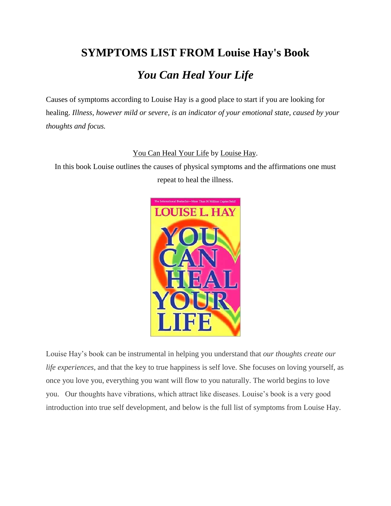# **SYMPTOMS LIST FROM Louise Hay's Book** *You Can Heal Your Life*

Causes of symptoms according to Louise Hay is a good place to start if you are looking for healing. *Illness, however mild or severe, is an indicator of your emotional state, caused by your thoughts and focus.*

#### [You Can Heal Your Life](http://www.hayhouse.com/details.php?ref=149&id=7228) by [Louise Hay.](http://www.hayhouse.com/authorbio.php?id=149)

In this book Louise outlines the causes of physical symptoms and the affirmations one must repeat to heal the illness.



Louise Hay's book can be instrumental in helping you understand that *our thoughts create our life experiences*, and that the key to true happiness is self love. She focuses on loving yourself, as once you love you, everything you want will flow to you naturally. The world begins to love you. Our thoughts have vibrations, which attract like diseases. Louise's book is a very good introduction into true self development, and below is the full list of symptoms from Louise Hay.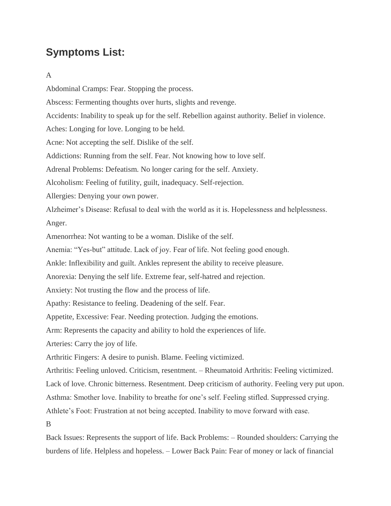## **Symptoms List:**

#### A

Abdominal Cramps: Fear. Stopping the process. Abscess: Fermenting thoughts over hurts, slights and revenge. Accidents: Inability to speak up for the self. Rebellion against authority. Belief in violence. Aches: Longing for love. Longing to be held. Acne: Not accepting the self. Dislike of the self. Addictions: Running from the self. Fear. Not knowing how to love self. Adrenal Problems: Defeatism. No longer caring for the self. Anxiety. Alcoholism: Feeling of futility, guilt, inadequacy. Self-rejection. Allergies: Denying your own power. Alzheimer's Disease: Refusal to deal with the world as it is. Hopelessness and helplessness. Anger. Amenorrhea: Not wanting to be a woman. Dislike of the self. Anemia: "Yes-but" attitude. Lack of joy. Fear of life. Not feeling good enough. Ankle: Inflexibility and guilt. Ankles represent the ability to receive pleasure. Anorexia: Denying the self life. Extreme fear, self-hatred and rejection. Anxiety: Not trusting the flow and the process of life. Apathy: Resistance to feeling. Deadening of the self. Fear. Appetite, Excessive: Fear. Needing protection. Judging the emotions. Arm: Represents the capacity and ability to hold the experiences of life. Arteries: Carry the joy of life. Arthritic Fingers: A desire to punish. Blame. Feeling victimized. Arthritis: Feeling unloved. Criticism, resentment. – Rheumatoid Arthritis: Feeling victimized. Lack of love. Chronic bitterness. Resentment. Deep criticism of authority. Feeling very put upon. Asthma: Smother love. Inability to breathe for one's self. Feeling stifled. Suppressed crying. Athlete's Foot: Frustration at not being accepted. Inability to move forward with ease. B Back Issues: Represents the support of life. Back Problems: – Rounded shoulders: Carrying the burdens of life. Helpless and hopeless. – Lower Back Pain: Fear of money or lack of financial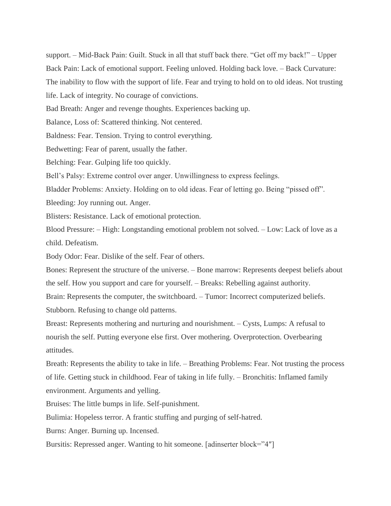support. – Mid-Back Pain: Guilt. Stuck in all that stuff back there. "Get off my back!" – Upper Back Pain: Lack of emotional support. Feeling unloved. Holding back love. – Back Curvature: The inability to flow with the support of life. Fear and trying to hold on to old ideas. Not trusting

life. Lack of integrity. No courage of convictions.

Bad Breath: Anger and revenge thoughts. Experiences backing up.

Balance, Loss of: Scattered thinking. Not centered.

Baldness: Fear. Tension. Trying to control everything.

Bedwetting: Fear of parent, usually the father.

Belching: Fear. Gulping life too quickly.

Bell's Palsy: Extreme control over anger. Unwillingness to express feelings.

Bladder Problems: Anxiety. Holding on to old ideas. Fear of letting go. Being "pissed off".

Bleeding: Joy running out. Anger.

Blisters: Resistance. Lack of emotional protection.

Blood Pressure: – High: Longstanding emotional problem not solved. – Low: Lack of love as a child. Defeatism.

Body Odor: Fear. Dislike of the self. Fear of others.

Bones: Represent the structure of the universe. – Bone marrow: Represents deepest beliefs about the self. How you support and care for yourself. – Breaks: Rebelling against authority.

Brain: Represents the computer, the switchboard. – Tumor: Incorrect computerized beliefs. Stubborn. Refusing to change old patterns.

Breast: Represents mothering and nurturing and nourishment. – Cysts, Lumps: A refusal to nourish the self. Putting everyone else first. Over mothering. Overprotection. Overbearing attitudes.

Breath: Represents the ability to take in life. – Breathing Problems: Fear. Not trusting the process of life. Getting stuck in childhood. Fear of taking in life fully. – Bronchitis: Inflamed family environment. Arguments and yelling.

Bruises: The little bumps in life. Self-punishment.

Bulimia: Hopeless terror. A frantic stuffing and purging of self-hatred.

Burns: Anger. Burning up. Incensed.

Bursitis: Repressed anger. Wanting to hit someone. [adinserter block="4″]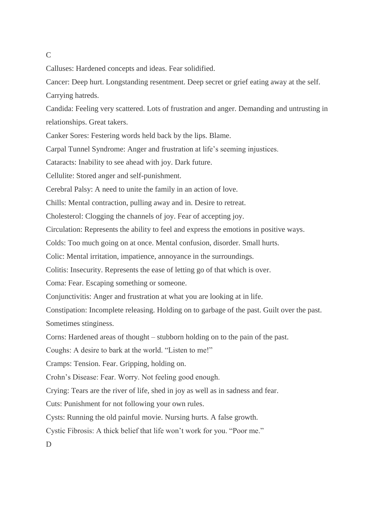#### $\mathcal{C}$

Calluses: Hardened concepts and ideas. Fear solidified.

Cancer: Deep hurt. Longstanding resentment. Deep secret or grief eating away at the self. Carrying hatreds.

Candida: Feeling very scattered. Lots of frustration and anger. Demanding and untrusting in relationships. Great takers.

Canker Sores: Festering words held back by the lips. Blame.

Carpal Tunnel Syndrome: Anger and frustration at life's seeming injustices.

Cataracts: Inability to see ahead with joy. Dark future.

Cellulite: Stored anger and self-punishment.

Cerebral Palsy: A need to unite the family in an action of love.

Chills: Mental contraction, pulling away and in. Desire to retreat.

Cholesterol: Clogging the channels of joy. Fear of accepting joy.

Circulation: Represents the ability to feel and express the emotions in positive ways.

Colds: Too much going on at once. Mental confusion, disorder. Small hurts.

Colic: Mental irritation, impatience, annoyance in the surroundings.

Colitis: Insecurity. Represents the ease of letting go of that which is over.

Coma: Fear. Escaping something or someone.

Conjunctivitis: Anger and frustration at what you are looking at in life.

Constipation: Incomplete releasing. Holding on to garbage of the past. Guilt over the past. Sometimes stinginess.

Corns: Hardened areas of thought – stubborn holding on to the pain of the past.

Coughs: A desire to bark at the world. "Listen to me!"

Cramps: Tension. Fear. Gripping, holding on.

Crohn's Disease: Fear. Worry. Not feeling good enough.

Crying: Tears are the river of life, shed in joy as well as in sadness and fear.

Cuts: Punishment for not following your own rules.

Cysts: Running the old painful movie. Nursing hurts. A false growth.

Cystic Fibrosis: A thick belief that life won't work for you. "Poor me."

D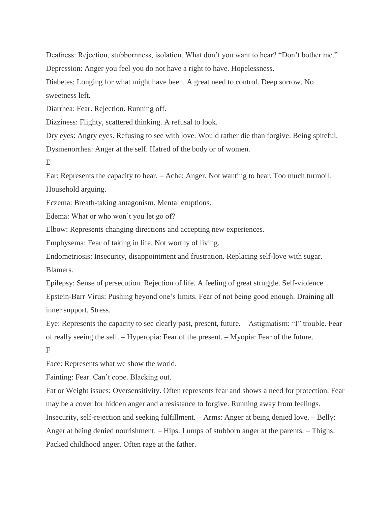Deafness: Rejection, stubbornness, isolation. What don't you want to hear? "Don't bother me." Depression: Anger you feel you do not have a right to have. Hopelessness.

Diabetes: Longing for what might have been. A great need to control. Deep sorrow. No sweetness left.

Diarrhea: Fear. Rejection. Running off.

Dizziness: Flighty, scattered thinking. A refusal to look.

Dry eyes: Angry eyes. Refusing to see with love. Would rather die than forgive. Being spiteful. Dysmenorrhea: Anger at the self. Hatred of the body or of women.

E

Ear: Represents the capacity to hear. – Ache: Anger. Not wanting to hear. Too much turmoil. Household arguing.

Eczema: Breath-taking antagonism. Mental eruptions.

Edema: What or who won't you let go of?

Elbow: Represents changing directions and accepting new experiences.

Emphysema: Fear of taking in life. Not worthy of living.

Endometriosis: Insecurity, disappointment and frustration. Replacing self-love with sugar. Blamers.

Epilepsy: Sense of persecution. Rejection of life. A feeling of great struggle. Self-violence. Epstein-Barr Virus: Pushing beyond one's limits. Fear of not being good enough. Draining all inner support. Stress.

Eye: Represents the capacity to see clearly past, present, future. – Astigmatism: "I" trouble. Fear of really seeing the self. – Hyperopia: Fear of the present. – Myopia: Fear of the future. F

Face: Represents what we show the world.

Fainting: Fear. Can't cope. Blacking out.

Fat or Weight issues: Oversensitivity. Often represents fear and shows a need for protection. Fear may be a cover for hidden anger and a resistance to forgive. Running away from feelings. Insecurity, self-rejection and seeking fulfillment. – Arms: Anger at being denied love. – Belly: Anger at being denied nourishment. – Hips: Lumps of stubborn anger at the parents. – Thighs: Packed childhood anger. Often rage at the father.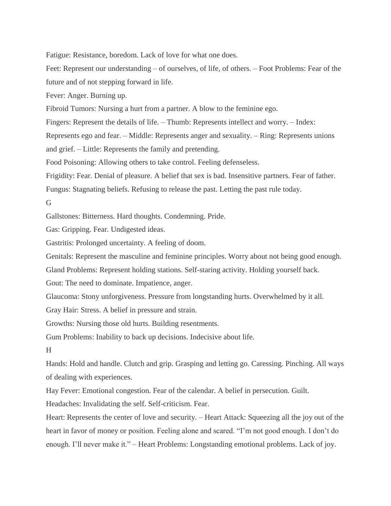Fatigue: Resistance, boredom. Lack of love for what one does.

Feet: Represent our understanding – of ourselves, of life, of others. – Foot Problems: Fear of the future and of not stepping forward in life.

Fever: Anger. Burning up.

Fibroid Tumors: Nursing a hurt from a partner. A blow to the feminine ego.

Fingers: Represent the details of life. – Thumb: Represents intellect and worry. – Index:

Represents ego and fear. – Middle: Represents anger and sexuality. – Ring: Represents unions

and grief. – Little: Represents the family and pretending.

Food Poisoning: Allowing others to take control. Feeling defenseless.

Frigidity: Fear. Denial of pleasure. A belief that sex is bad. Insensitive partners. Fear of father.

Fungus: Stagnating beliefs. Refusing to release the past. Letting the past rule today.

G

Gallstones: Bitterness. Hard thoughts. Condemning. Pride.

Gas: Gripping. Fear. Undigested ideas.

Gastritis: Prolonged uncertainty. A feeling of doom.

Genitals: Represent the masculine and feminine principles. Worry about not being good enough.

Gland Problems: Represent holding stations. Self-staring activity. Holding yourself back.

Gout: The need to dominate. Impatience, anger.

Glaucoma: Stony unforgiveness. Pressure from longstanding hurts. Overwhelmed by it all.

Gray Hair: Stress. A belief in pressure and strain.

Growths: Nursing those old hurts. Building resentments.

Gum Problems: Inability to back up decisions. Indecisive about life.

H

Hands: Hold and handle. Clutch and grip. Grasping and letting go. Caressing. Pinching. All ways of dealing with experiences.

Hay Fever: Emotional congestion. Fear of the calendar. A belief in persecution. Guilt.

Headaches: Invalidating the self. Self-criticism. Fear.

Heart: Represents the center of love and security. – Heart Attack: Squeezing all the joy out of the heart in favor of money or position. Feeling alone and scared. "I'm not good enough. I don't do enough. I'll never make it." – Heart Problems: Longstanding emotional problems. Lack of joy.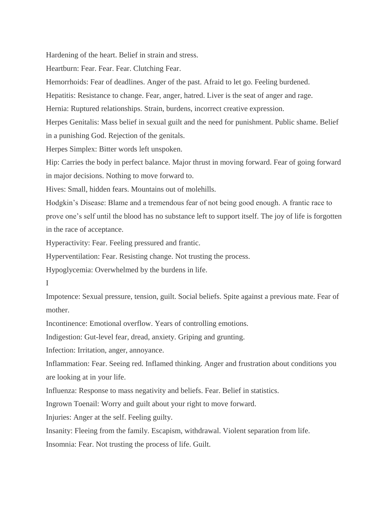Hardening of the heart. Belief in strain and stress.

Heartburn: Fear. Fear. Fear. Clutching Fear.

Hemorrhoids: Fear of deadlines. Anger of the past. Afraid to let go. Feeling burdened.

Hepatitis: Resistance to change. Fear, anger, hatred. Liver is the seat of anger and rage.

Hernia: Ruptured relationships. Strain, burdens, incorrect creative expression.

Herpes Genitalis: Mass belief in sexual guilt and the need for punishment. Public shame. Belief in a punishing God. Rejection of the genitals.

Herpes Simplex: Bitter words left unspoken.

Hip: Carries the body in perfect balance. Major thrust in moving forward. Fear of going forward in major decisions. Nothing to move forward to.

Hives: Small, hidden fears. Mountains out of molehills.

Hodgkin's Disease: Blame and a tremendous fear of not being good enough. A frantic race to prove one's self until the blood has no substance left to support itself. The joy of life is forgotten in the race of acceptance.

Hyperactivity: Fear. Feeling pressured and frantic.

Hyperventilation: Fear. Resisting change. Not trusting the process.

Hypoglycemia: Overwhelmed by the burdens in life.

I

Impotence: Sexual pressure, tension, guilt. Social beliefs. Spite against a previous mate. Fear of mother.

Incontinence: Emotional overflow. Years of controlling emotions.

Indigestion: Gut-level fear, dread, anxiety. Griping and grunting.

Infection: Irritation, anger, annoyance.

Inflammation: Fear. Seeing red. Inflamed thinking. Anger and frustration about conditions you are looking at in your life.

Influenza: Response to mass negativity and beliefs. Fear. Belief in statistics.

Ingrown Toenail: Worry and guilt about your right to move forward.

Injuries: Anger at the self. Feeling guilty.

Insanity: Fleeing from the family. Escapism, withdrawal. Violent separation from life.

Insomnia: Fear. Not trusting the process of life. Guilt.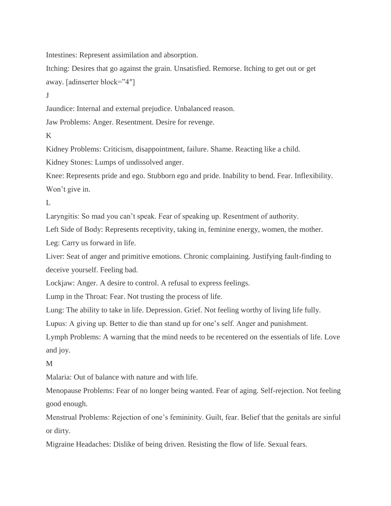Intestines: Represent assimilation and absorption.

Itching: Desires that go against the grain. Unsatisfied. Remorse. Itching to get out or get away. [adinserter block="4″]

J

Jaundice: Internal and external prejudice. Unbalanced reason.

Jaw Problems: Anger. Resentment. Desire for revenge.

K

Kidney Problems: Criticism, disappointment, failure. Shame. Reacting like a child.

Kidney Stones: Lumps of undissolved anger.

Knee: Represents pride and ego. Stubborn ego and pride. Inability to bend. Fear. Inflexibility. Won't give in.

 $\mathbf{L}$ 

Laryngitis: So mad you can't speak. Fear of speaking up. Resentment of authority.

Left Side of Body: Represents receptivity, taking in, feminine energy, women, the mother.

Leg: Carry us forward in life.

Liver: Seat of anger and primitive emotions. Chronic complaining. Justifying fault-finding to deceive yourself. Feeling bad.

Lockjaw: Anger. A desire to control. A refusal to express feelings.

Lump in the Throat: Fear. Not trusting the process of life.

Lung: The ability to take in life. Depression. Grief. Not feeling worthy of living life fully.

Lupus: A giving up. Better to die than stand up for one's self. Anger and punishment.

Lymph Problems: A warning that the mind needs to be recentered on the essentials of life. Love and joy.

M

Malaria: Out of balance with nature and with life.

Menopause Problems: Fear of no longer being wanted. Fear of aging. Self-rejection. Not feeling good enough.

Menstrual Problems: Rejection of one's femininity. Guilt, fear. Belief that the genitals are sinful or dirty.

Migraine Headaches: Dislike of being driven. Resisting the flow of life. Sexual fears.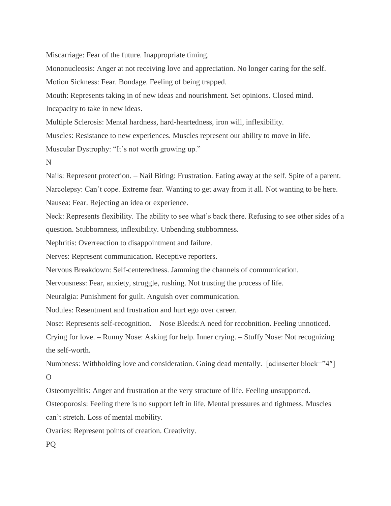Miscarriage: Fear of the future. Inappropriate timing.

Mononucleosis: Anger at not receiving love and appreciation. No longer caring for the self.

Motion Sickness: Fear. Bondage. Feeling of being trapped.

Mouth: Represents taking in of new ideas and nourishment. Set opinions. Closed mind.

Incapacity to take in new ideas.

Multiple Sclerosis: Mental hardness, hard-heartedness, iron will, inflexibility.

Muscles: Resistance to new experiences. Muscles represent our ability to move in life.

Muscular Dystrophy: "It's not worth growing up."

N

Nails: Represent protection. – Nail Biting: Frustration. Eating away at the self. Spite of a parent. Narcolepsy: Can't cope. Extreme fear. Wanting to get away from it all. Not wanting to be here. Nausea: Fear. Rejecting an idea or experience.

Neck: Represents flexibility. The ability to see what's back there. Refusing to see other sides of a question. Stubbornness, inflexibility. Unbending stubbornness.

Nephritis: Overreaction to disappointment and failure.

Nerves: Represent communication. Receptive reporters.

Nervous Breakdown: Self-centeredness. Jamming the channels of communication.

Nervousness: Fear, anxiety, struggle, rushing. Not trusting the process of life.

Neuralgia: Punishment for guilt. Anguish over communication.

Nodules: Resentment and frustration and hurt ego over career.

Nose: Represents self-recognition. – Nose Bleeds:A need for recobnition. Feeling unnoticed.

Crying for love. – Runny Nose: Asking for help. Inner crying. – Stuffy Nose: Not recognizing the self-worth.

Numbness: Withholding love and consideration. Going dead mentally. [adinserter block="4″]  $\Omega$ 

Osteomyelitis: Anger and frustration at the very structure of life. Feeling unsupported.

Osteoporosis: Feeling there is no support left in life. Mental pressures and tightness. Muscles can't stretch. Loss of mental mobility.

Ovaries: Represent points of creation. Creativity.

PQ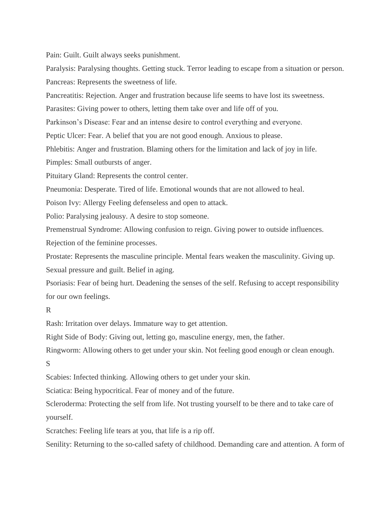Pain: Guilt. Guilt always seeks punishment.

Paralysis: Paralysing thoughts. Getting stuck. Terror leading to escape from a situation or person. Pancreas: Represents the sweetness of life.

Pancreatitis: Rejection. Anger and frustration because life seems to have lost its sweetness.

Parasites: Giving power to others, letting them take over and life off of you.

Parkinson's Disease: Fear and an intense desire to control everything and everyone.

Peptic Ulcer: Fear. A belief that you are not good enough. Anxious to please.

Phlebitis: Anger and frustration. Blaming others for the limitation and lack of joy in life.

Pimples: Small outbursts of anger.

Pituitary Gland: Represents the control center.

Pneumonia: Desperate. Tired of life. Emotional wounds that are not allowed to heal.

Poison Ivy: Allergy Feeling defenseless and open to attack.

Polio: Paralysing jealousy. A desire to stop someone.

Premenstrual Syndrome: Allowing confusion to reign. Giving power to outside influences.

Rejection of the feminine processes.

Prostate: Represents the masculine principle. Mental fears weaken the masculinity. Giving up. Sexual pressure and guilt. Belief in aging.

Psoriasis: Fear of being hurt. Deadening the senses of the self. Refusing to accept responsibility for our own feelings.

### R

Rash: Irritation over delays. Immature way to get attention.

Right Side of Body: Giving out, letting go, masculine energy, men, the father.

Ringworm: Allowing others to get under your skin. Not feeling good enough or clean enough.

#### S

Scabies: Infected thinking. Allowing others to get under your skin.

Sciatica: Being hypocritical. Fear of money and of the future.

Scleroderma: Protecting the self from life. Not trusting yourself to be there and to take care of yourself.

Scratches: Feeling life tears at you, that life is a rip off.

Senility: Returning to the so-called safety of childhood. Demanding care and attention. A form of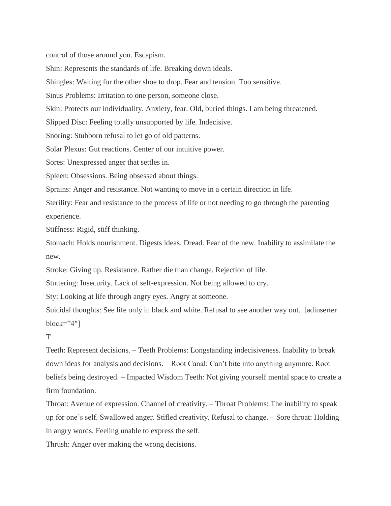control of those around you. Escapism.

Shin: Represents the standards of life. Breaking down ideals.

Shingles: Waiting for the other shoe to drop. Fear and tension. Too sensitive.

Sinus Problems: Irritation to one person, someone close.

Skin: Protects our individuality. Anxiety, fear. Old, buried things. I am being threatened.

Slipped Disc: Feeling totally unsupported by life. Indecisive.

Snoring: Stubborn refusal to let go of old patterns.

Solar Plexus: Gut reactions. Center of our intuitive power.

Sores: Unexpressed anger that settles in.

Spleen: Obsessions. Being obsessed about things.

Sprains: Anger and resistance. Not wanting to move in a certain direction in life.

Sterility: Fear and resistance to the process of life or not needing to go through the parenting experience.

Stiffness: Rigid, stiff thinking.

Stomach: Holds nourishment. Digests ideas. Dread. Fear of the new. Inability to assimilate the new.

Stroke: Giving up. Resistance. Rather die than change. Rejection of life.

Stuttering: Insecurity. Lack of self-expression. Not being allowed to cry.

Sty: Looking at life through angry eyes. Angry at someone.

Suicidal thoughts: See life only in black and white. Refusal to see another way out. [adinserter  $block="4"$ ]

T

Teeth: Represent decisions. – Teeth Problems: Longstanding indecisiveness. Inability to break down ideas for analysis and decisions. – Root Canal: Can't bite into anything anymore. Root beliefs being destroyed. – Impacted Wisdom Teeth: Not giving yourself mental space to create a firm foundation.

Throat: Avenue of expression. Channel of creativity. – Throat Problems: The inability to speak up for one's self. Swallowed anger. Stifled creativity. Refusal to change. – Sore throat: Holding in angry words. Feeling unable to express the self.

Thrush: Anger over making the wrong decisions.